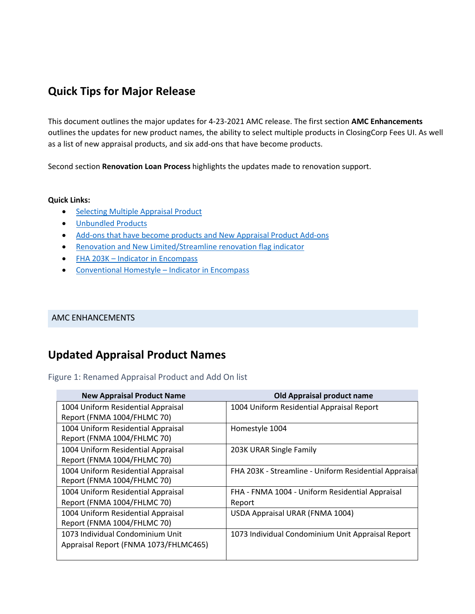## **Quick Tips for Major Release**

This document outlines the major updates for 4-23-2021 AMC release. The first section **AMC Enhancements** outlines the updates for new product names, the ability to select multiple products in ClosingCorp Fees UI. As well as a list of new appraisal products, and six add-ons that have become products.

Second section **Renovation Loan Process** highlights the updates made to renovation support.

#### **Quick Links:**

- [Selecting Multiple Appraisal Product](#page-3-0)
- [Unbundled Products](#page-3-1)
- Add-ons that have become products and New Appraisal Product Add-ons
- [Renovation and New Limited/Streamline renovation flag indicator](#page-5-0)
- FHA 203K [Indicator in Encompass](#page-7-0)
- [Conventional Homestyle –](#page-9-0) Indicator in Encompass

### AMC ENHANCEMENTS

## **Updated Appraisal Product Names**

### Figure 1: Renamed Appraisal Product and Add On list

| <b>New Appraisal Product Name</b>     | <b>Old Appraisal product name</b>                     |
|---------------------------------------|-------------------------------------------------------|
| 1004 Uniform Residential Appraisal    | 1004 Uniform Residential Appraisal Report             |
| Report (FNMA 1004/FHLMC 70)           |                                                       |
| 1004 Uniform Residential Appraisal    | Homestyle 1004                                        |
| Report (FNMA 1004/FHLMC 70)           |                                                       |
| 1004 Uniform Residential Appraisal    | 203K URAR Single Family                               |
| Report (FNMA 1004/FHLMC 70)           |                                                       |
| 1004 Uniform Residential Appraisal    | FHA 203K - Streamline - Uniform Residential Appraisal |
| Report (FNMA 1004/FHLMC 70)           |                                                       |
| 1004 Uniform Residential Appraisal    | FHA - FNMA 1004 - Uniform Residential Appraisal       |
| Report (FNMA 1004/FHLMC 70)           | Report                                                |
| 1004 Uniform Residential Appraisal    | USDA Appraisal URAR (FNMA 1004)                       |
| Report (FNMA 1004/FHLMC 70)           |                                                       |
| 1073 Individual Condominium Unit      | 1073 Individual Condominium Unit Appraisal Report     |
| Appraisal Report (FNMA 1073/FHLMC465) |                                                       |
|                                       |                                                       |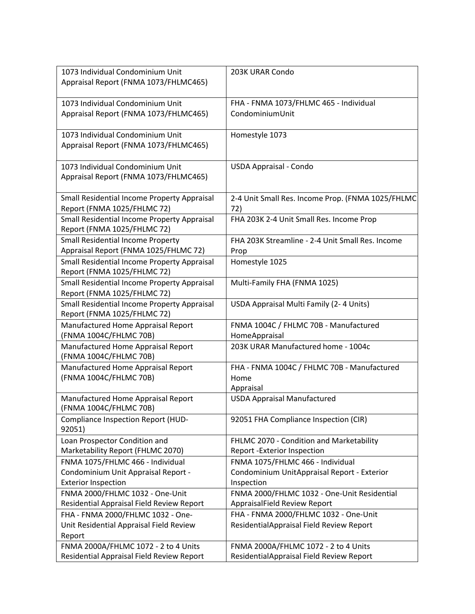| 1073 Individual Condominium Unit<br>Appraisal Report (FNMA 1073/FHLMC465)    | 203K URAR Condo                                                             |
|------------------------------------------------------------------------------|-----------------------------------------------------------------------------|
|                                                                              |                                                                             |
| 1073 Individual Condominium Unit                                             | FHA - FNMA 1073/FHLMC 465 - Individual                                      |
| Appraisal Report (FNMA 1073/FHLMC465)                                        | CondominiumUnit                                                             |
| 1073 Individual Condominium Unit                                             | Homestyle 1073                                                              |
| Appraisal Report (FNMA 1073/FHLMC465)                                        |                                                                             |
| 1073 Individual Condominium Unit                                             | <b>USDA Appraisal - Condo</b>                                               |
| Appraisal Report (FNMA 1073/FHLMC465)                                        |                                                                             |
| Small Residential Income Property Appraisal                                  | 2-4 Unit Small Res. Income Prop. (FNMA 1025/FHLMC                           |
| Report (FNMA 1025/FHLMC 72)                                                  | 72)                                                                         |
| Small Residential Income Property Appraisal<br>Report (FNMA 1025/FHLMC 72)   | FHA 203K 2-4 Unit Small Res. Income Prop                                    |
| <b>Small Residential Income Property</b>                                     | FHA 203K Streamline - 2-4 Unit Small Res. Income                            |
| Appraisal Report (FNMA 1025/FHLMC 72)                                        | Prop                                                                        |
| Small Residential Income Property Appraisal<br>Report (FNMA 1025/FHLMC 72)   | Homestyle 1025                                                              |
| Small Residential Income Property Appraisal<br>Report (FNMA 1025/FHLMC 72)   | Multi-Family FHA (FNMA 1025)                                                |
| Small Residential Income Property Appraisal<br>Report (FNMA 1025/FHLMC 72)   | USDA Appraisal Multi Family (2-4 Units)                                     |
| Manufactured Home Appraisal Report                                           | FNMA 1004C / FHLMC 70B - Manufactured                                       |
| (FNMA 1004C/FHLMC 70B)                                                       | HomeAppraisal                                                               |
| Manufactured Home Appraisal Report<br>(FNMA 1004C/FHLMC 70B)                 | 203K URAR Manufactured home - 1004c                                         |
| Manufactured Home Appraisal Report                                           | FHA - FNMA 1004C / FHLMC 70B - Manufactured                                 |
| (FNMA 1004C/FHLMC 70B)                                                       | Home<br>Appraisal                                                           |
| Manufactured Home Appraisal Report                                           | <b>USDA Appraisal Manufactured</b>                                          |
| (FNMA 1004C/FHLMC 70B)                                                       |                                                                             |
| Compliance Inspection Report (HUD-<br>92051)                                 | 92051 FHA Compliance Inspection (CIR)                                       |
| Loan Prospector Condition and                                                | FHLMC 2070 - Condition and Marketability                                    |
| Marketability Report (FHLMC 2070)                                            | Report - Exterior Inspection                                                |
| FNMA 1075/FHLMC 466 - Individual                                             | FNMA 1075/FHLMC 466 - Individual                                            |
| Condominium Unit Appraisal Report -                                          | Condominium UnitAppraisal Report - Exterior                                 |
| <b>Exterior Inspection</b>                                                   | Inspection                                                                  |
| FNMA 2000/FHLMC 1032 - One-Unit<br>Residential Appraisal Field Review Report | FNMA 2000/FHLMC 1032 - One-Unit Residential<br>AppraisalField Review Report |
| FHA - FNMA 2000/FHLMC 1032 - One-                                            | FHA - FNMA 2000/FHLMC 1032 - One-Unit                                       |
| Unit Residential Appraisal Field Review                                      | ResidentialAppraisal Field Review Report                                    |
| Report                                                                       |                                                                             |
| FNMA 2000A/FHLMC 1072 - 2 to 4 Units                                         | FNMA 2000A/FHLMC 1072 - 2 to 4 Units                                        |
| Residential Appraisal Field Review Report                                    | ResidentialAppraisal Field Review Report                                    |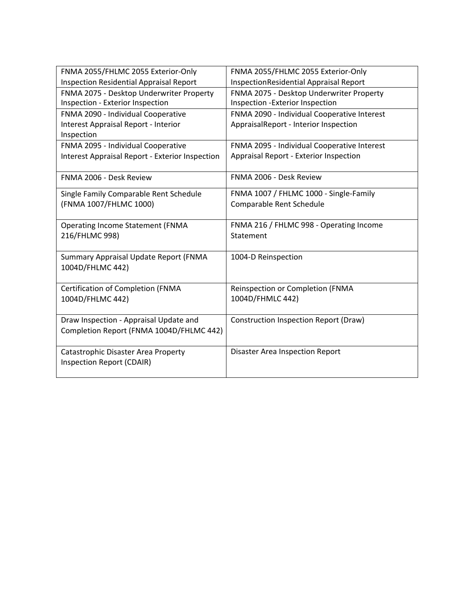| FNMA 2055/FHLMC 2055 Exterior-Only                                                              | FNMA 2055/FHLMC 2055 Exterior-Only                                                   |
|-------------------------------------------------------------------------------------------------|--------------------------------------------------------------------------------------|
| <b>Inspection Residential Appraisal Report</b>                                                  | InspectionResidential Appraisal Report                                               |
| FNMA 2075 - Desktop Underwriter Property                                                        | FNMA 2075 - Desktop Underwriter Property                                             |
| Inspection - Exterior Inspection                                                                | Inspection - Exterior Inspection                                                     |
| FNMA 2090 - Individual Cooperative<br><b>Interest Appraisal Report - Interior</b><br>Inspection | FNMA 2090 - Individual Cooperative Interest<br>AppraisalReport - Interior Inspection |
| FNMA 2095 - Individual Cooperative                                                              | FNMA 2095 - Individual Cooperative Interest                                          |
| <b>Interest Appraisal Report - Exterior Inspection</b>                                          | Appraisal Report - Exterior Inspection                                               |
| FNMA 2006 - Desk Review                                                                         | FNMA 2006 - Desk Review                                                              |
| Single Family Comparable Rent Schedule                                                          | FNMA 1007 / FHLMC 1000 - Single-Family                                               |
| (FNMA 1007/FHLMC 1000)                                                                          | Comparable Rent Schedule                                                             |
| <b>Operating Income Statement (FNMA</b>                                                         | FNMA 216 / FHLMC 998 - Operating Income                                              |
| 216/FHLMC 998)                                                                                  | Statement                                                                            |
| Summary Appraisal Update Report (FNMA<br>1004D/FHLMC 442)                                       | 1004-D Reinspection                                                                  |
| <b>Certification of Completion (FNMA</b>                                                        | Reinspection or Completion (FNMA                                                     |
| 1004D/FHLMC 442)                                                                                | 1004D/FHMLC 442)                                                                     |
| Draw Inspection - Appraisal Update and<br>Completion Report (FNMA 1004D/FHLMC 442)              | Construction Inspection Report (Draw)                                                |
| Catastrophic Disaster Area Property<br>Inspection Report (CDAIR)                                | <b>Disaster Area Inspection Report</b>                                               |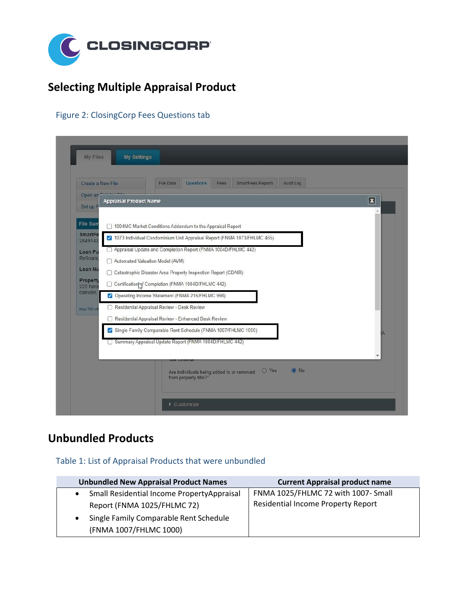

# **Selecting Multiple Appraisal Product**

### <span id="page-3-0"></span>Figure 2: ClosingCorp Fees Questions tab

| Create a New File           | <b>File Data</b><br><b>Questions</b><br>SmartFees Reports<br>Audit Log<br>Fees                                  |  |  |  |
|-----------------------------|-----------------------------------------------------------------------------------------------------------------|--|--|--|
| Open an<br>Set up P         | $\overline{\mathbf{x}}$<br><b>Appraisal Product Name</b>                                                        |  |  |  |
| <b>File Sun</b>             | □ 1004MC Market Conditions Addendum to the Appraisal Report                                                     |  |  |  |
| <b>SmartFe</b><br>2849142   | 7 1073 Individual Condominium Unit Appraisal Report (FNMA 1073/FHLMC 465)                                       |  |  |  |
| Loan Pu                     | Appraisal Update and Completion Report (FNMA 1004D/FHLMC 442)                                                   |  |  |  |
| Refinanc                    | Automated Valuation Model (AVM)                                                                                 |  |  |  |
| Loan Nu                     | Catastrophic Disaster Area Property Inspection Report (CDAIR)<br>0                                              |  |  |  |
| <b>Property</b><br>222 hara | Certification of Completion (FNMA 1004D/FHLMC 442)<br>u                                                         |  |  |  |
| danville.                   | Operating Income Statement (FNMA 216/FHLMC 998)                                                                 |  |  |  |
| Map 703-V5                  | Residential Appraisal Review - Desk Review                                                                      |  |  |  |
|                             | Residential Appraisal Review - Enhanced Desk Review<br>п                                                        |  |  |  |
|                             | Single Family Comparable Rent Schedule (FNMA 1007/FHLMC 1000)                                                   |  |  |  |
|                             | Summary Appraisal Update Report (FNMA 1004D/FHLMC 442)                                                          |  |  |  |
|                             | <b>GA UTILETIC</b><br>$\odot$ No<br>O Yes<br>Are individuals being added to or removed<br>from property title?* |  |  |  |

# **Unbundled Products**

### <span id="page-3-1"></span>Table 1: List of Appraisal Products that were unbundled

|                                        | <b>Unbundled New Appraisal Product Names</b> | <b>Current Appraisal product name</b>     |
|----------------------------------------|----------------------------------------------|-------------------------------------------|
| $\bullet$                              | Small Residential Income PropertyAppraisal   | FNMA 1025/FHLMC 72 with 1007- Small       |
|                                        | Report (FNMA 1025/FHLMC 72)                  | <b>Residential Income Property Report</b> |
| Single Family Comparable Rent Schedule |                                              |                                           |
|                                        | (FNMA 1007/FHLMC 1000)                       |                                           |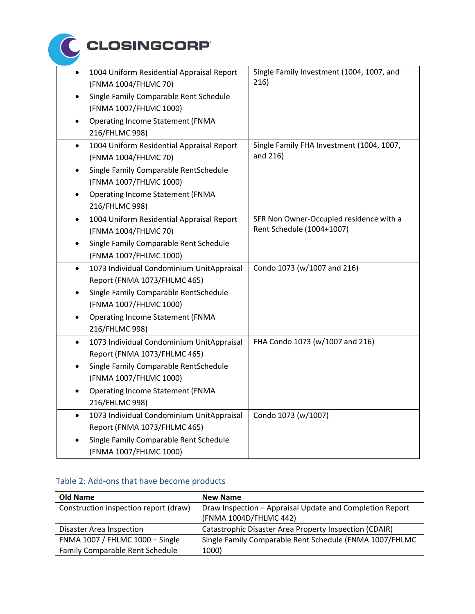

| $\bullet$ | 1004 Uniform Residential Appraisal Report<br>(FNMA 1004/FHLMC 70)         | Single Family Investment (1004, 1007, and<br>216)                    |
|-----------|---------------------------------------------------------------------------|----------------------------------------------------------------------|
|           | Single Family Comparable Rent Schedule<br>(FNMA 1007/FHLMC 1000)          |                                                                      |
|           | <b>Operating Income Statement (FNMA</b><br>216/FHLMC 998)                 |                                                                      |
| $\bullet$ | 1004 Uniform Residential Appraisal Report<br>(FNMA 1004/FHLMC 70)         | Single Family FHA Investment (1004, 1007,<br>and 216)                |
|           | Single Family Comparable RentSchedule<br>(FNMA 1007/FHLMC 1000)           |                                                                      |
|           | <b>Operating Income Statement (FNMA</b><br>216/FHLMC 998)                 |                                                                      |
| $\bullet$ | 1004 Uniform Residential Appraisal Report<br>(FNMA 1004/FHLMC 70)         | SFR Non Owner-Occupied residence with a<br>Rent Schedule (1004+1007) |
|           | Single Family Comparable Rent Schedule<br>(FNMA 1007/FHLMC 1000)          |                                                                      |
| $\bullet$ | 1073 Individual Condominium UnitAppraisal<br>Report (FNMA 1073/FHLMC 465) | Condo 1073 (w/1007 and 216)                                          |
|           | Single Family Comparable RentSchedule<br>(FNMA 1007/FHLMC 1000)           |                                                                      |
|           | <b>Operating Income Statement (FNMA</b><br>216/FHLMC 998)                 |                                                                      |
| $\bullet$ | 1073 Individual Condominium UnitAppraisal<br>Report (FNMA 1073/FHLMC 465) | FHA Condo 1073 (w/1007 and 216)                                      |
|           | Single Family Comparable RentSchedule<br>(FNMA 1007/FHLMC 1000)           |                                                                      |
|           | <b>Operating Income Statement (FNMA</b><br>216/FHLMC 998)                 |                                                                      |
| $\bullet$ | 1073 Individual Condominium UnitAppraisal<br>Report (FNMA 1073/FHLMC 465) | Condo 1073 (w/1007)                                                  |
|           | Single Family Comparable Rent Schedule<br>(FNMA 1007/FHLMC 1000)          |                                                                      |

### Table 2: Add-ons that have become products

| <b>Old Name</b>                        | <b>New Name</b>                                               |
|----------------------------------------|---------------------------------------------------------------|
| Construction inspection report (draw)  | Draw Inspection - Appraisal Update and Completion Report      |
|                                        | (FNMA 1004D/FHLMC 442)                                        |
| <b>Disaster Area Inspection</b>        | <b>Catastrophic Disaster Area Property Inspection (CDAIR)</b> |
| FNMA 1007 / FHLMC 1000 - Single        | Single Family Comparable Rent Schedule (FNMA 1007/FHLMC       |
| <b>Family Comparable Rent Schedule</b> | 1000)                                                         |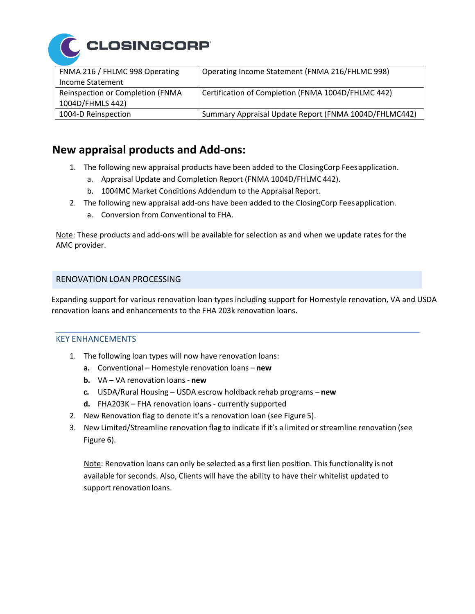

| FNMA 216 / FHLMC 998 Operating   | Operating Income Statement (FNMA 216/FHLMC 998)       |
|----------------------------------|-------------------------------------------------------|
| <b>Income Statement</b>          |                                                       |
| Reinspection or Completion (FNMA | Certification of Completion (FNMA 1004D/FHLMC 442)    |
| 1004D/FHMLS 442)                 |                                                       |
| 1004-D Reinspection              | Summary Appraisal Update Report (FNMA 1004D/FHLMC442) |

### **New appraisal products and Add-ons:**

- 1. The following new appraisal products have been added to the ClosingCorp Feesapplication.
	- a. Appraisal Update and Completion Report (FNMA 1004D/FHLMC 442).
	- b. 1004MC Market Conditions Addendum to the Appraisal Report.
- 2. The following new appraisal add-ons have been added to the ClosingCorp Feesapplication.
	- a. Conversion from Conventional to FHA.

Note: These products and add-ons will be available for selection as and when we update rates for the AMC provider.

### RENOVATION LOAN PROCESSING

Expanding support for various renovation loan types including support for Homestyle renovation, VA and USDA renovation loans and enhancements to the FHA 203k renovation loans.

#### <span id="page-5-0"></span>KEY ENHANCEMENTS

- 1. The following loan types will now have renovation loans:
	- **a.** Conventional Homestyle renovation loans **new**
	- **b.** VA VA renovation loans **new**
	- **c.** USDA/Rural Housing USDA escrow holdback rehab programs **new**
	- **d.** FHA203K FHA renovation loans currently supported
- 2. New Renovation flag to denote it's a renovation loan (see Figure 5).
- 3. New Limited/Streamline renovation flag to indicate if it's a limited orstreamline renovation (see Figure 6).

Note: Renovation loans can only be selected as a first lien position. This functionality is not available for seconds. Also, Clients will have the ability to have their whitelist updated to support renovationloans.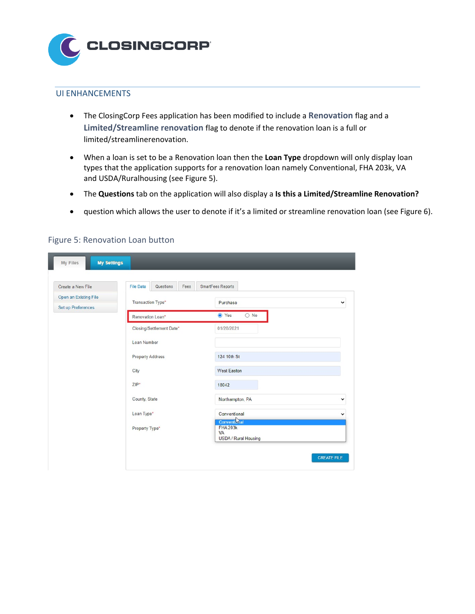

#### UI ENHANCEMENTS

- The ClosingCorp Fees application has been modified to include a **Renovation** flag and a **Limited/Streamline renovation** flag to denote if the renovation loan is a full or limited/streamlinerenovation.
- When a loan is set to be a Renovation loan then the **Loan Type** dropdown will only display loan types that the application supports for a renovation loan namely Conventional, FHA 203k, VA and USDA/Ruralhousing (see Figure 5).
- The **Questions** tab on the application will also display a **Is this a Limited/Streamline Renovation?**
- question which allows the user to denote if it's a limited or streamline renovation loan (see Figure 6).

| Create a New File     | <b>File Data</b><br>Questions<br>Fees | SmartFees Reports                                                           |             |
|-----------------------|---------------------------------------|-----------------------------------------------------------------------------|-------------|
| Open an Existing File |                                       |                                                                             |             |
| Set up Preferences    | Transaction Type*                     | Purchase                                                                    | $\check{ }$ |
|                       | Renovation Loan*                      | ⊙ Yes<br>$\bigcirc$ No                                                      |             |
|                       | Closing/Settlement Date*              | 01/28/2021                                                                  |             |
|                       | Loan Number                           |                                                                             |             |
|                       | <b>Property Address</b>               | 124 10th St                                                                 |             |
|                       | City                                  | <b>West Easton</b>                                                          |             |
|                       | $ZIP*$                                | 18042                                                                       |             |
|                       | County, State                         | Northampton, PA                                                             | v           |
|                       | Loan Type*                            | Conventional                                                                | $\check{ }$ |
|                       | Property Type*                        | <b>Conventional</b><br><b>FHA 203k</b><br>VA<br><b>USDA / Rural Housing</b> |             |

### Figure 5: Renovation Loan button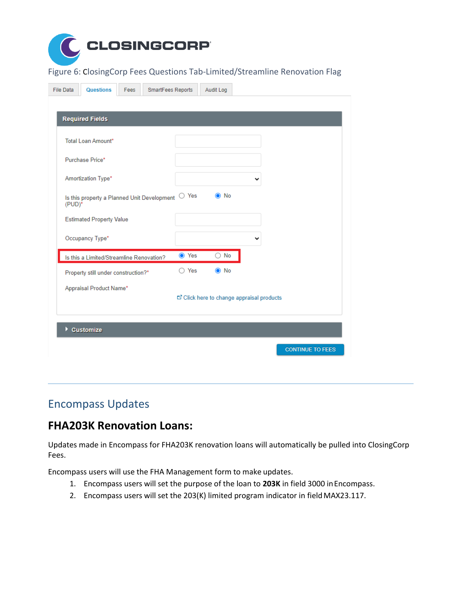

Figure 6: ClosingCorp Fees Questions Tab-Limited/Streamline Renovation Flag

| <b>File Data</b>                    | <b>Questions</b>                            | Fees | SmartFees Reports |                | Audit Log                                 |   |                         |  |
|-------------------------------------|---------------------------------------------|------|-------------------|----------------|-------------------------------------------|---|-------------------------|--|
|                                     |                                             |      |                   |                |                                           |   |                         |  |
|                                     | <b>Required Fields</b>                      |      |                   |                |                                           |   |                         |  |
|                                     | <b>Total Loan Amount*</b>                   |      |                   |                |                                           |   |                         |  |
|                                     | Purchase Price*                             |      |                   |                |                                           |   |                         |  |
|                                     | Amortization Type*                          |      |                   |                |                                           | ◡ |                         |  |
| $(PID)^*$                           | Is this property a Planned Unit Development |      |                   | $\bigcirc$ Yes | No<br>$\bullet$                           |   |                         |  |
|                                     | <b>Estimated Property Value</b>             |      |                   |                |                                           |   |                         |  |
|                                     | Occupancy Type*                             |      |                   |                |                                           | v |                         |  |
|                                     | Is this a Limited/Streamline Renovation?    |      |                   | <b>◎</b> Yes   | No<br>0                                   |   |                         |  |
| Property still under construction?* |                                             |      | $\bigcirc$ Yes    | $\odot$ No     |                                           |   |                         |  |
|                                     | Appraisal Product Name*                     |      |                   |                | □ Click here to change appraisal products |   |                         |  |
|                                     |                                             |      |                   |                |                                           |   |                         |  |
| Þ.                                  | <b>Customize</b>                            |      |                   |                |                                           |   |                         |  |
|                                     |                                             |      |                   |                |                                           |   | <b>CONTINUE TO FEES</b> |  |

## Encompass Updates

### <span id="page-7-0"></span>**FHA203K Renovation Loans:**

Updates made in Encompass for FHA203K renovation loans will automatically be pulled into ClosingCorp Fees.

Encompass users will use the FHA Management form to make updates.

- 1. Encompass users will set the purpose of the loan to **203K** in field 3000 inEncompass.
- 2. Encompass users will set the 203(K) limited program indicator in field MAX23.117.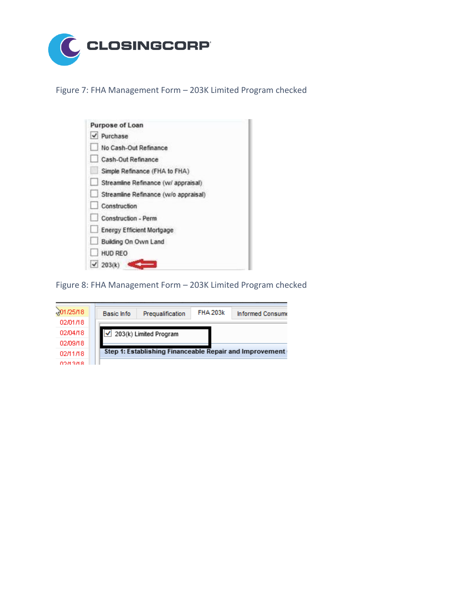

Figure 7: FHA Management Form – 203K Limited Program checked

| Purpose of Loan                      |  |
|--------------------------------------|--|
| $\vee$ Purchase                      |  |
| No Cash-Out Refinance                |  |
| Cash-Out Refinance                   |  |
| Simple Refinance (FHA to FHA)        |  |
| Streamline Refinance (w/ appraisal)  |  |
| Streamline Refinance (w/o appraisal) |  |
| Construction                         |  |
| Construction - Perm                  |  |
| <b>Energy Efficient Mortgage</b>     |  |
| Building On Own Land                 |  |
| <b>HUD REO</b>                       |  |
| $\sqrt{203(k)}$                      |  |

Figure 8: FHA Management Form – 203K Limited Program checked